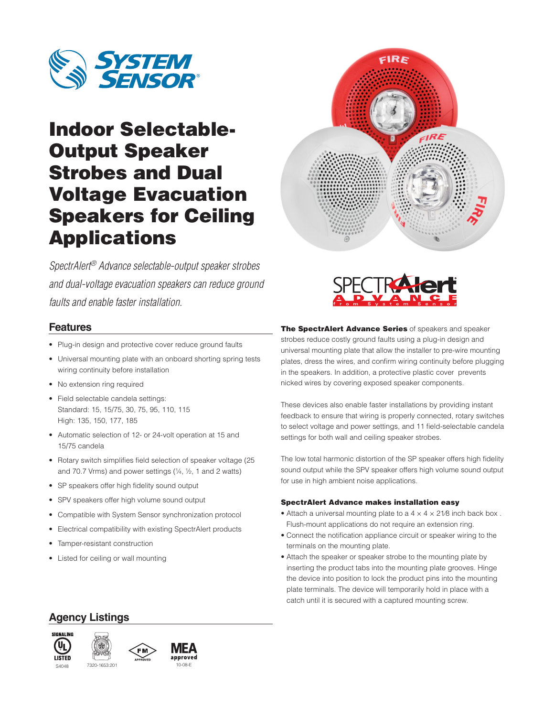

# Indoor Selectable-Output Speaker Strobes and Dual Voltage Evacuation Speakers for Ceiling Applications



*SpectrAlert® Advance selectable-output speaker strobes and dual-voltage evacuation speakers can reduce ground faults and enable faster installation.*

### **Features**

- Plug-in design and protective cover reduce ground faults
- Universal mounting plate with an onboard shorting spring tests wiring continuity before installation
- No extension ring required
- Field selectable candela settings: Standard: 15, 15/75, 30, 75, 95, 110, 115 High: 135, 150, 177, 185
- Automatic selection of 12- or 24-volt operation at 15 and 15/75 candela
- Rotary switch simplifies field selection of speaker voltage (25 and 70.7 Vrms) and power settings  $(1/4, 1/2, 1)$  and 2 watts)
- SP speakers offer high fidelity sound output
- SPV speakers offer high volume sound output
- Compatible with System Sensor synchronization protocol
- Electrical compatibility with existing SpectrAlert products
- Tamper-resistant construction
- Listed for ceiling or wall mounting

The SpectrAlert Advance Series of speakers and speaker strobes reduce costly ground faults using a plug-in design and universal mounting plate that allow the installer to pre-wire mounting plates, dress the wires, and confirm wiring continuity before plugging in the speakers. In addition, a protective plastic cover prevents nicked wires by covering exposed speaker components.

These devices also enable faster installations by providing instant feedback to ensure that wiring is properly connected, rotary switches to select voltage and power settings, and 11 field-selectable candela settings for both wall and ceiling speaker strobes.

The low total harmonic distortion of the SP speaker offers high fidelity sound output while the SPV speaker offers high volume sound output for use in high ambient noise applications.

#### SpectrAlert Advance makes installation easy

- Attach a universal mounting plate to a  $4 \times 4 \times 21/8$  inch back box. Flush-mount applications do not require an extension ring.
- Connect the notification appliance circuit or speaker wiring to the terminals on the mounting plate.
- Attach the speaker or speaker strobe to the mounting plate by inserting the product tabs into the mounting plate grooves. Hinge the device into position to lock the product pins into the mounting plate terminals. The device will temporarily hold in place with a catch until it is secured with a captured mounting screw.

### **Agency Listings**





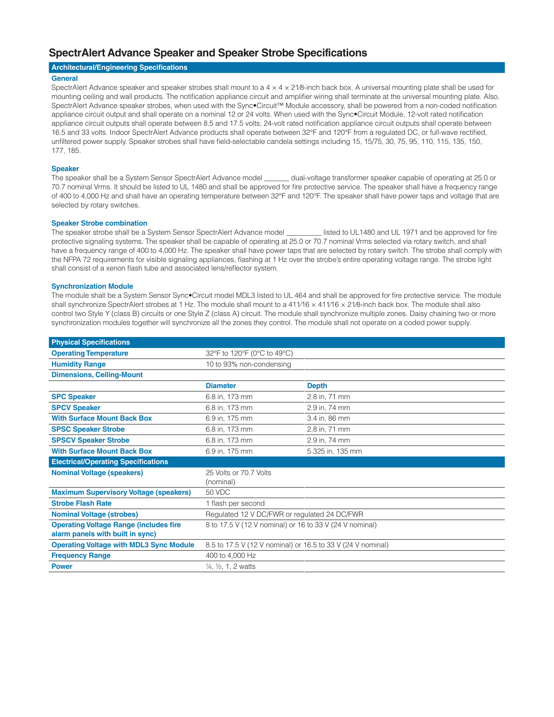### **SpectrAlert Advance Speaker and Speaker Strobe Specifications**

#### **Architectural/Engineering Specifications**

#### **General**

SpectrAlert Advance speaker and speaker strobes shall mount to a  $4 \times 4 \times 21/8$ -inch back box. A universal mounting plate shall be used for mounting ceiling and wall products. The notification appliance circuit and amplifier wiring shall terminate at the universal mounting plate. Also, SpectrAlert Advance speaker strobes, when used with the Sync•Circuit™ Module accessory, shall be powered from a non-coded notification appliance circuit output and shall operate on a nominal 12 or 24 volts. When used with the Sync•Circuit Module, 12-volt rated notification appliance circuit outputs shall operate between 8.5 and 17.5 volts; 24-volt rated notification appliance circuit outputs shall operate between 16.5 and 33 volts. Indoor SpectrAlert Advance products shall operate between 32°F and 120°F from a regulated DC, or full-wave rectified, unfiltered power supply. Speaker strobes shall have field-selectable candela settings including 15, 15/75, 30, 75, 95, 110, 115, 135, 150, 177, 185.

#### **Speaker**

The speaker shall be a System Sensor SpectrAlert Advance model \_\_\_\_\_\_\_ dual-voltage transformer speaker capable of operating at 25.0 or 70.7 nominal Vrms. It should be listed to UL 1480 and shall be approved for fire protective service. The speaker shall have a frequency range of 400 to 4,000 Hz and shall have an operating temperature between 32°F and 120°F. The speaker shall have power taps and voltage that are selected by rotary switches.

#### **Speaker Strobe combination**

The speaker strobe shall be a System Sensor SpectrAlert Advance model listed to UL1480 and UL 1971 and be approved for fire protective signaling systems. The speaker shall be capable of operating at 25.0 or 70.7 nominal Vrms selected via rotary switch, and shall have a frequency range of 400 to 4,000 Hz. The speaker shall have power taps that are selected by rotary switch. The strobe shall comply with the NFPA 72 requirements for visible signaling appliances, flashing at 1 Hz over the strobe's entire operating voltage range. The strobe light shall consist of a xenon flash tube and associated lens/reflector system.

#### **Synchronization Module**

The module shall be a System Sensor Sync•Circuit model MDL3 listed to UL 464 and shall be approved for fire protective service. The module shall synchronize SpectrAlert strobes at 1 Hz. The module shall mount to a 411/16 x 411/16 x 21/8-inch back box. The module shall also control two Style Y (class B) circuits or one Style Z (class A) circuit. The module shall synchronize multiple zones. Daisy chaining two or more synchronization modules together will synchronize all the zones they control. The module shall not operate on a coded power supply.

| <b>Physical Specifications</b>                 |                                                             |                  |  |
|------------------------------------------------|-------------------------------------------------------------|------------------|--|
| <b>Operating Temperature</b>                   | 32°F to 120°F (0°C to 49°C)                                 |                  |  |
| <b>Humidity Range</b>                          | 10 to 93% non-condensing                                    |                  |  |
| <b>Dimensions, Ceiling-Mount</b>               |                                                             |                  |  |
|                                                | <b>Diameter</b>                                             | <b>Depth</b>     |  |
| <b>SPC Speaker</b>                             | 6.8 in, 173 mm                                              | 2.8 in, 71 mm    |  |
| <b>SPCV Speaker</b>                            | 6.8 in, 173 mm                                              | 2.9 in, 74 mm    |  |
| <b>With Surface Mount Back Box</b>             | 6.9 in, 175 mm                                              | 3.4 in, 86 mm    |  |
| <b>SPSC Speaker Strobe</b>                     | 6.8 in, 173 mm                                              | 2.8 in, 71 mm    |  |
| <b>SPSCV Speaker Strobe</b>                    | 6.8 in, 173 mm                                              | 2.9 in, 74 mm    |  |
| <b>With Surface Mount Back Box</b>             | 6.9 in, 175 mm                                              | 5.325 in, 135 mm |  |
| <b>Electrical/Operating Specifications</b>     |                                                             |                  |  |
| <b>Nominal Voltage (speakers)</b>              | 25 Volts or 70.7 Volts                                      |                  |  |
|                                                | (nominal)                                                   |                  |  |
| <b>Maximum Supervisory Voltage (speakers)</b>  | 50 VDC                                                      |                  |  |
| <b>Strobe Flash Rate</b>                       | 1 flash per second                                          |                  |  |
| <b>Nominal Voltage (strobes)</b>               | Regulated 12 V DC/FWR or regulated 24 DC/FWR                |                  |  |
| <b>Operating Voltage Range (includes fire</b>  | 8 to 17.5 V (12 V nominal) or 16 to 33 V (24 V nominal)     |                  |  |
| alarm panels with built in sync)               |                                                             |                  |  |
| <b>Operating Voltage with MDL3 Sync Module</b> | 8.5 to 17.5 V (12 V nominal) or 16.5 to 33 V (24 V nominal) |                  |  |
| <b>Frequency Range</b>                         | 400 to 4,000 Hz                                             |                  |  |
| <b>Power</b>                                   | $\frac{1}{4}$ , $\frac{1}{2}$ , 1, 2 watts                  |                  |  |
|                                                |                                                             |                  |  |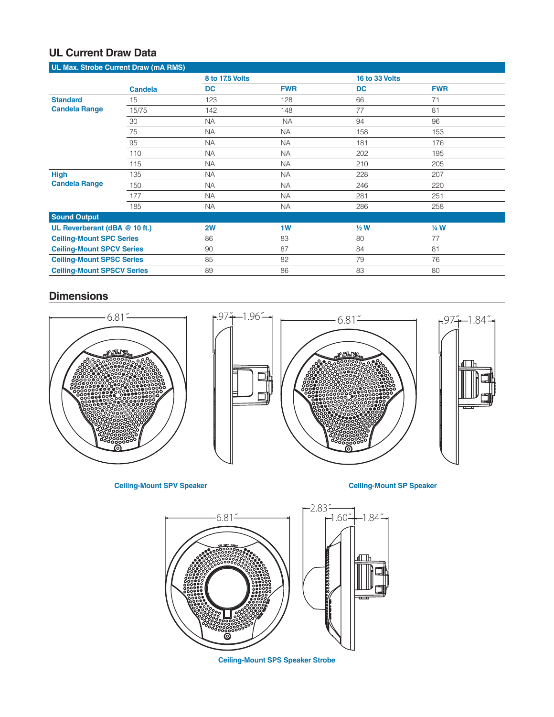# **UL Current Draw Data**

| UL Max. Strobe Current Draw (mA RMS)    |                |           |                 |           |                 |  |  |
|-----------------------------------------|----------------|-----------|-----------------|-----------|-----------------|--|--|
|                                         |                |           | 8 to 17.5 Volts |           | 16 to 33 Volts  |  |  |
|                                         | <b>Candela</b> | <b>DC</b> | <b>FWR</b>      | <b>DC</b> | <b>FWR</b>      |  |  |
| <b>Standard</b><br><b>Candela Range</b> | 15             | 123       | 128             | 66        | 71              |  |  |
|                                         | 15/75          | 142       | 148             | 77        | 81              |  |  |
|                                         | 30             | <b>NA</b> | <b>NA</b>       | 94        | 96              |  |  |
|                                         | 75             | <b>NA</b> | <b>NA</b>       | 158       | 153             |  |  |
|                                         | 95             | <b>NA</b> | <b>NA</b>       | 181       | 176             |  |  |
|                                         | 110            | <b>NA</b> | <b>NA</b>       | 202       | 195             |  |  |
|                                         | 115            | <b>NA</b> | <b>NA</b>       | 210       | 205             |  |  |
| <b>High</b><br><b>Candela Range</b>     | 135            | <b>NA</b> | <b>NA</b>       | 228       | 207             |  |  |
|                                         | 150            | <b>NA</b> | <b>NA</b>       | 246       | 220             |  |  |
|                                         | 177            | <b>NA</b> | <b>NA</b>       | 281       | 251             |  |  |
|                                         | 185            | <b>NA</b> | <b>NA</b>       | 286       | 258             |  |  |
| <b>Sound Output</b>                     |                |           |                 |           |                 |  |  |
| UL Reverberant (dBA @ 10 ft.)           |                | 2W        | 1W              | $1/2$ W   | $\frac{1}{4}$ W |  |  |
| <b>Ceiling-Mount SPC Series</b>         |                | 86        | 83              | 80        | 77              |  |  |
| <b>Ceiling-Mount SPCV Series</b>        |                | 90        | 87              | 84        | 81              |  |  |
| <b>Ceiling-Mount SPSC Series</b>        |                | 85        | 82              | 79        | 76              |  |  |
| <b>Ceiling-Mount SPSCV Series</b>       |                | 89        | 86              | 83        | 80              |  |  |

# **Dimensions**



**Ceiling-Mount SPV Speaker Ceiling-Mount SP Speaker**



**Ceiling-Mount SPS Speaker Strobe**